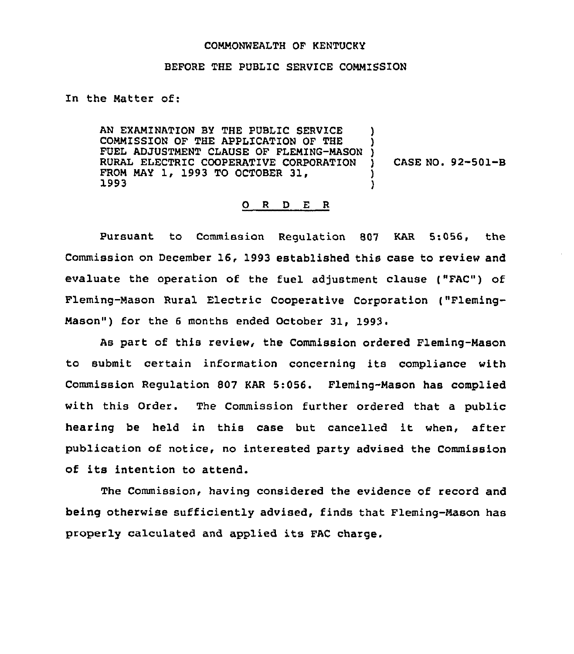## COMMONWEALTH OF KENTUCKY

## BEFORE THE PUBLIC SERVICE COMMISSION

## In the Matter of:

AN EXAMINATION BY THE PUBLIC SERVICE COMMISSION OF THE APPLICATION OF THE FUEL ADJUSTMENT CLAUSE OF FLEMING-MASON ) RURAL ELECTRIC COOPERATIVE CORPORATION FROM MAY 1, 1993 TO OCTOBER 31, 1993 ) ) ) )

) CASE NO. 92-501-B

## 0 <sup>R</sup> <sup>D</sup> E <sup>R</sup>

Pursuant to Commission Regulation 807 KAR 5:056, the Commission on December 16, 1993 established this case to review and evaluate the operation of the fuel adjustment clause ("FAC") of Fleming-Mason Rural Electric Cooperative Corporation ("Fleming-Mason") for the 6 months ended October 31, 1993.

As part of this review, the Commission ordered Fleming-Mason to submit certain information concerning its compliance with Commission Regulation 807 KAR 5:056. Fleming-Mason has complied with this Order. The Commission further ordered that a public hearing be held in this case but cancelled it when, after publication of notice, no interested party advised the Commission of its intention to attend.

The Commission, having considered the evidence of record and being otherwise sufficiently advised, finds that Fleming-Mason has properly calculated and applied its FAC charge.